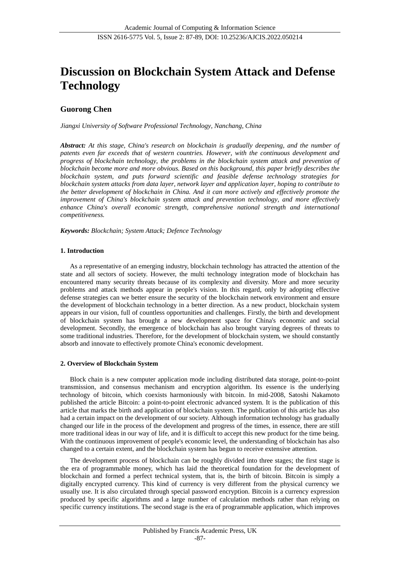# **Discussion on Blockchain System Attack and Defense Technology**

# **Guorong Chen**

*Jiangxi University of Software Professional Technology, Nanchang, China*

*Abstract: At this stage, China's research on blockchain is gradually deepening, and the number of patents even far exceeds that of western countries. However, with the continuous development and progress of blockchain technology, the problems in the blockchain system attack and prevention of blockchain become more and more obvious. Based on this background, this paper briefly describes the blockchain system, and puts forward scientific and feasible defense technology strategies for blockchain system attacks from data layer, network layer and application layer, hoping to contribute to the better development of blockchain in China. And it can more actively and effectively promote the improvement of China's blockchain system attack and prevention technology, and more effectively enhance China's overall economic strength, comprehensive national strength and international competitiveness.*

*Keywords: Blockchain; System Attack; Defence Technology*

## **1. Introduction**

As a representative of an emerging industry, blockchain technology has attracted the attention of the state and all sectors of society. However, the multi technology integration mode of blockchain has encountered many security threats because of its complexity and diversity. More and more security problems and attack methods appear in people's vision. In this regard, only by adopting effective defense strategies can we better ensure the security of the blockchain network environment and ensure the development of blockchain technology in a better direction. As a new product, blockchain system appears in our vision, full of countless opportunities and challenges. Firstly, the birth and development of blockchain system has brought a new development space for China's economic and social development. Secondly, the emergence of blockchain has also brought varying degrees of threats to some traditional industries. Therefore, for the development of blockchain system, we should constantly absorb and innovate to effectively promote China's economic development.

# **2. Overview of Blockchain System**

Block chain is a new computer application mode including distributed data storage, point-to-point transmission, and consensus mechanism and encryption algorithm. Its essence is the underlying technology of bitcoin, which coexists harmoniously with bitcoin. In mid-2008, Satoshi Nakamoto published the article Bitcoin: a point-to-point electronic advanced system. It is the publication of this article that marks the birth and application of blockchain system. The publication of this article has also had a certain impact on the development of our society. Although information technology has gradually changed our life in the process of the development and progress of the times, in essence, there are still more traditional ideas in our way of life, and it is difficult to accept this new product for the time being. With the continuous improvement of people's economic level, the understanding of blockchain has also changed to a certain extent, and the blockchain system has begun to receive extensive attention.

The development process of blockchain can be roughly divided into three stages; the first stage is the era of programmable money, which has laid the theoretical foundation for the development of blockchain and formed a perfect technical system, that is, the birth of bitcoin. Bitcoin is simply a digitally encrypted currency. This kind of currency is very different from the physical currency we usually use. It is also circulated through special password encryption. Bitcoin is a currency expression produced by specific algorithms and a large number of calculation methods rather than relying on specific currency institutions. The second stage is the era of programmable application, which improves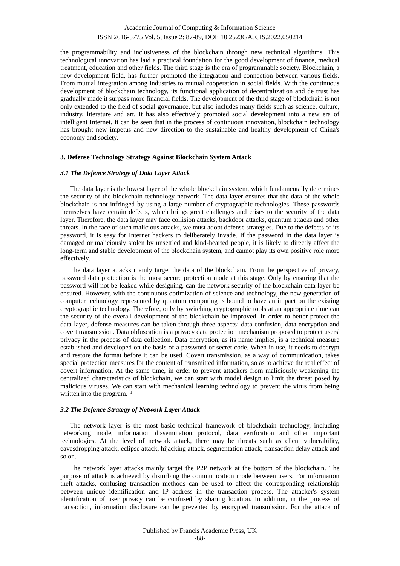## ISSN 2616-5775 Vol. 5, Issue 2: 87-89, DOI: 10.25236/AJCIS.2022.050214

the programmability and inclusiveness of the blockchain through new technical algorithms. This technological innovation has laid a practical foundation for the good development of finance, medical treatment, education and other fields. The third stage is the era of programmable society. Blockchain, a new development field, has further promoted the integration and connection between various fields. From mutual integration among industries to mutual cooperation in social fields. With the continuous development of blockchain technology, its functional application of decentralization and de trust has gradually made it surpass more financial fields. The development of the third stage of blockchain is not only extended to the field of social governance, but also includes many fields such as science, culture, industry, literature and art. It has also effectively promoted social development into a new era of intelligent Internet. It can be seen that in the process of continuous innovation, blockchain technology has brought new impetus and new direction to the sustainable and healthy development of China's economy and society.

#### **3. Defense Technology Strategy Against Blockchain System Attack**

#### *3.1 The Defence Strategy of Data Layer Attack*

The data layer is the lowest layer of the whole blockchain system, which fundamentally determines the security of the blockchain technology network. The data layer ensures that the data of the whole blockchain is not infringed by using a large number of cryptographic technologies. These passwords themselves have certain defects, which brings great challenges and crises to the security of the data layer. Therefore, the data layer may face collision attacks, backdoor attacks, quantum attacks and other threats. In the face of such malicious attacks, we must adopt defense strategies. Due to the defects of its password, it is easy for Internet hackers to deliberately invade. If the password in the data layer is damaged or maliciously stolen by unsettled and kind-hearted people, it is likely to directly affect the long-term and stable development of the blockchain system, and cannot play its own positive role more effectively.

The data layer attacks mainly target the data of the blockchain. From the perspective of privacy, password data protection is the most secure protection mode at this stage. Only by ensuring that the password will not be leaked while designing, can the network security of the blockchain data layer be ensured. However, with the continuous optimization of science and technology, the new generation of computer technology represented by quantum computing is bound to have an impact on the existing cryptographic technology. Therefore, only by switching cryptographic tools at an appropriate time can the security of the overall development of the blockchain be improved. In order to better protect the data layer, defense measures can be taken through three aspects: data confusion, data encryption and covert transmission. Data obfuscation is a privacy data protection mechanism proposed to protect users' privacy in the process of data collection. Data encryption, as its name implies, is a technical measure established and developed on the basis of a password or secret code. When in use, it needs to decrypt and restore the format before it can be used. Covert transmission, as a way of communication, takes special protection measures for the content of transmitted information, so as to achieve the real effect of covert information. At the same time, in order to prevent attackers from maliciously weakening the centralized characteristics of blockchain, we can start with model design to limit the threat posed by malicious viruses. We can start with mechanical learning technology to prevent the virus from being written into the program.<sup>[1]</sup>

#### *3.2 The Defence Strategy of Network Layer Attack*

The network layer is the most basic technical framework of blockchain technology, including networking mode, information dissemination protocol, data verification and other important technologies. At the level of network attack, there may be threats such as client vulnerability, eavesdropping attack, eclipse attack, hijacking attack, segmentation attack, transaction delay attack and so on.

The network layer attacks mainly target the P2P network at the bottom of the blockchain. The purpose of attack is achieved by disturbing the communication mode between users. For information theft attacks, confusing transaction methods can be used to affect the corresponding relationship between unique identification and IP address in the transaction process. The attacker's system identification of user privacy can be confused by sharing location. In addition, in the process of transaction, information disclosure can be prevented by encrypted transmission. For the attack of